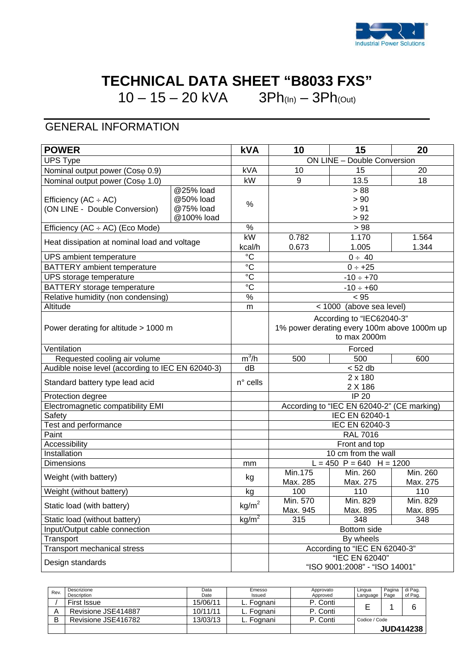

## **TECHNICAL DATA SHEET "B8033 FXS"**

10 – 15 – 20 kVA  $3Ph_{(In)} - 3Ph_{(Out)}$ 

## GENERAL INFORMATION

| <b>POWER</b>                                               |                                                   | <b>kVA</b>        | 10                                                                                       | 15                                              | 20                   |  |
|------------------------------------------------------------|---------------------------------------------------|-------------------|------------------------------------------------------------------------------------------|-------------------------------------------------|----------------------|--|
| <b>UPS Type</b>                                            |                                                   |                   | ON LINE - Double Conversion                                                              |                                                 |                      |  |
| Nominal output power (Cosφ 0.9)                            |                                                   | kVA               | 10                                                                                       | 15                                              | 20                   |  |
| Nominal output power (Coso 1.0)                            |                                                   | kW                | 9                                                                                        | 13.5                                            | 18                   |  |
| Efficiency (AC $\div$ AC)<br>(ON LINE - Double Conversion) | @25% load<br>@50% load<br>@75% load<br>@100% load | %                 |                                                                                          | > 88<br>> 90<br>> 91<br>> 92                    |                      |  |
| Efficiency (AC ÷ AC) (Eco Mode)                            |                                                   | %                 | >98                                                                                      |                                                 |                      |  |
| Heat dissipation at nominal load and voltage               |                                                   | kW<br>kcal/h      | 0.782<br>1.170<br>1.564<br>0.673<br>1.005                                                |                                                 | 1.344                |  |
| UPS ambient temperature                                    |                                                   | $^{\circ}C$       | $0 \div 40$                                                                              |                                                 |                      |  |
| BATTERY ambient temperature                                |                                                   | $\rm ^{\circ}C$   | $0 \div +25$                                                                             |                                                 |                      |  |
| UPS storage temperature                                    |                                                   | $\rm ^{\circ}C$   |                                                                                          | $-10 \div +70$                                  |                      |  |
| BATTERY storage temperature                                |                                                   | $\overline{c}$    |                                                                                          | $-10 \div +60$                                  |                      |  |
| Relative humidity (non condensing)                         |                                                   | $\%$              |                                                                                          | < 95                                            |                      |  |
| Altitude                                                   |                                                   | m                 | < 1000                                                                                   | (above sea level)                               |                      |  |
| Power derating for altitude > 1000 m                       |                                                   |                   | According to "IEC62040-3"<br>1% power derating every 100m above 1000m up<br>to max 2000m |                                                 |                      |  |
| Ventilation                                                |                                                   |                   | Forced                                                                                   |                                                 |                      |  |
| Requested cooling air volume                               |                                                   | $m^3/h$           | 500                                                                                      | 500                                             | 600                  |  |
| Audible noise level (according to IEC EN 62040-3)          |                                                   | dB                |                                                                                          | < 52 db                                         |                      |  |
| Standard battery type lead acid                            |                                                   | $n^{\circ}$ cells | 2 x 180<br>2 X 186                                                                       |                                                 |                      |  |
| Protection degree                                          |                                                   |                   | <b>IP 20</b>                                                                             |                                                 |                      |  |
| Electromagnetic compatibility EMI                          |                                                   |                   |                                                                                          | According to "IEC EN 62040-2" (CE marking)      |                      |  |
| Safety                                                     |                                                   |                   | IEC EN 62040-1                                                                           |                                                 |                      |  |
| Test and performance                                       |                                                   |                   | IEC EN 62040-3                                                                           |                                                 |                      |  |
| Paint                                                      |                                                   |                   | <b>RAL 7016</b>                                                                          |                                                 |                      |  |
| Accessibility                                              |                                                   |                   | Front and top                                                                            |                                                 |                      |  |
| Installation                                               |                                                   |                   |                                                                                          | 10 cm from the wall                             |                      |  |
| Dimensions                                                 |                                                   | mm                |                                                                                          | $L = 450$ P = 640 H = 1200                      |                      |  |
| Weight (with battery)                                      |                                                   | kg                | Min.175<br>Max. 285                                                                      | Min. 260<br>Max. 275                            | Min. 260<br>Max. 275 |  |
| Weight (without battery)                                   |                                                   | kg                | 100                                                                                      | 110                                             | 110                  |  |
| Static load (with battery)                                 |                                                   | kg/m <sup>2</sup> | Min. 570<br>Max. 945                                                                     | Min. 829<br>Max. 895                            | Min. 829<br>Max. 895 |  |
| Static load (without battery)                              |                                                   | kg/m <sup>2</sup> | 315                                                                                      | 348                                             | 348                  |  |
| Input/Output cable connection                              |                                                   |                   | Bottom side                                                                              |                                                 |                      |  |
| Transport                                                  |                                                   |                   |                                                                                          | By wheels                                       |                      |  |
| <b>Transport mechanical stress</b>                         |                                                   |                   |                                                                                          | According to "IEC EN 62040-3"                   |                      |  |
| Design standards                                           |                                                   |                   |                                                                                          | "IEC EN 62040"<br>"ISO 9001:2008" - "ISO 14001" |                      |  |

| Rev | Descrizione<br>Description | Data<br>Date | Emesso<br>Issued | Approvato<br>Approved | Lingua<br>Language | Pagina<br>Page | di Pag.<br>of Pag. |
|-----|----------------------------|--------------|------------------|-----------------------|--------------------|----------------|--------------------|
|     | First Issue                | 15/06/11     | L. Fognani       | P. Conti              |                    |                | 6                  |
|     | Revisione JSE414887        | 10/11/11     | L. Fognani       | P. Conti              |                    |                |                    |
| B   | Revisione JSE416782        | 13/03/13     | L. Fognani       | P. Conti              | Codice / Code      |                |                    |
|     |                            |              |                  |                       |                    |                | <b>JUD414238</b>   |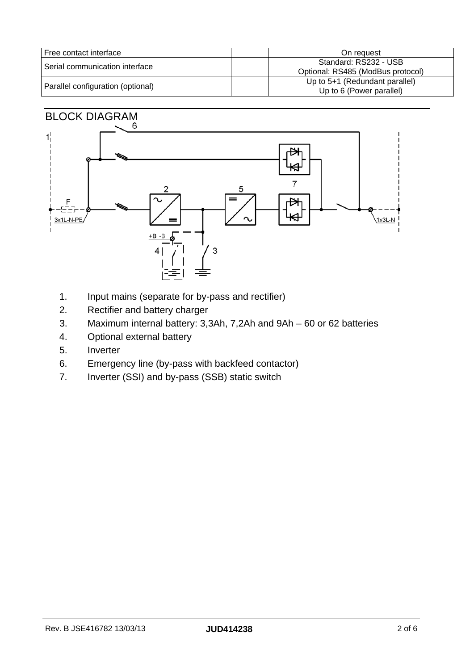| l Free contact interface          | On request                                                   |
|-----------------------------------|--------------------------------------------------------------|
| l Serial communication interface  | Standard: RS232 - USB<br>Optional: RS485 (ModBus protocol)   |
| Parallel configuration (optional) | Up to $5+1$ (Redundant parallel)<br>Up to 6 (Power parallel) |

# BLOCK DIAGRAM



- 1. Input mains (separate for by-pass and rectifier)
- 2. Rectifier and battery charger
- 3. Maximum internal battery: 3,3Ah, 7,2Ah and 9Ah 60 or 62 batteries
- 4. Optional external battery
- 5. Inverter
- 6. Emergency line (by-pass with backfeed contactor)
- 7. Inverter (SSI) and by-pass (SSB) static switch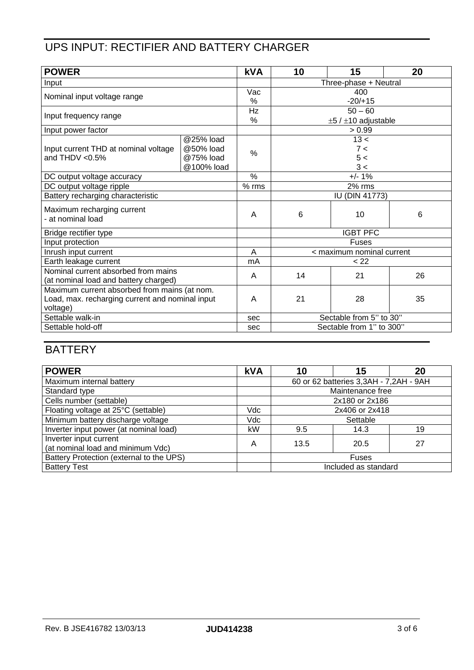#### UPS INPUT: RECTIFIER AND BATTERY CHARGER

| <b>POWER</b>                                    |            | <b>kVA</b> | 10                            | 15   | 20 |
|-------------------------------------------------|------------|------------|-------------------------------|------|----|
| Input                                           |            |            | Three-phase + Neutral         |      |    |
| Nominal input voltage range                     |            | Vac        | 400                           |      |    |
|                                                 |            | %          | $-20/+15$                     |      |    |
| Input frequency range                           |            | Hz         | $50 - 60$                     |      |    |
|                                                 |            | %          | $\pm 5$ / $\pm 10$ adjustable |      |    |
| Input power factor                              |            |            | > 0.99                        |      |    |
|                                                 | @25% load  |            |                               | 13 < |    |
| Input current THD at nominal voltage            | @50% load  | $\%$       | 7 <                           |      |    |
| and THDV $< 0.5\%$                              | @75% load  |            | 5 <                           |      |    |
|                                                 | @100% load |            | 3 <                           |      |    |
| DC output voltage accuracy                      |            | $\%$       | $+/- 1%$                      |      |    |
| DC output voltage ripple                        |            | $%$ rms    | 2% rms                        |      |    |
| Battery recharging characteristic               |            |            | <b>IU (DIN 41773)</b>         |      |    |
| Maximum recharging current<br>- at nominal load |            | A          | 6                             | 10   | 6  |
| Bridge rectifier type                           |            |            | <b>IGBT PFC</b>               |      |    |
| Input protection                                |            |            | Fuses                         |      |    |
| Inrush input current                            |            | A          | < maximum nominal current     |      |    |
| Earth leakage current                           |            | mA         | < 22                          |      |    |
| Nominal current absorbed from mains             |            | A          | 14                            | 21   | 26 |
| (at nominal load and battery charged)           |            |            |                               |      |    |
| Maximum current absorbed from mains (at nom.    |            |            |                               |      |    |
| Load, max. recharging current and nominal input |            | A          | 21                            | 28   | 35 |
| voltage)                                        |            |            |                               |      |    |
| Settable walk-in                                |            | sec        | Sectable from 5" to 30"       |      |    |
| Settable hold-off                               |            | sec        | Sectable from 1" to 300"      |      |    |

### **BATTERY**

| <b>POWER</b>                                                | <b>kVA</b> | 10                                     | 15                   | 20 |
|-------------------------------------------------------------|------------|----------------------------------------|----------------------|----|
| Maximum internal battery                                    |            | 60 or 62 batteries 3,3AH - 7,2AH - 9AH |                      |    |
| Standard type                                               |            | Maintenance free                       |                      |    |
| Cells number (settable)                                     |            | 2x180 or 2x186                         |                      |    |
| Floating voltage at 25°C (settable)                         | Vdc        | 2x406 or 2x418                         |                      |    |
| Minimum battery discharge voltage                           | Vdc        |                                        | Settable             |    |
| Inverter input power (at nominal load)                      | kW         | 9.5                                    | 14.3                 | 19 |
| Inverter input current<br>(at nominal load and minimum Vdc) | Α          | 13.5                                   | 20.5                 | 27 |
| Battery Protection (external to the UPS)                    |            | <b>Fuses</b>                           |                      |    |
| <b>Battery Test</b>                                         |            |                                        | Included as standard |    |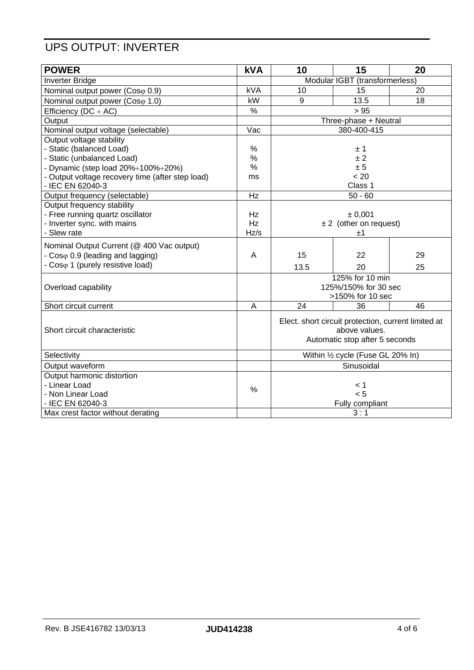#### UPS OUTPUT: INVERTER

| <b>POWER</b>                                     | <b>kVA</b>      | 10                                                                   | 15                             | 20 |
|--------------------------------------------------|-----------------|----------------------------------------------------------------------|--------------------------------|----|
| <b>Inverter Bridge</b>                           |                 | Modular IGBT (transformerless)                                       |                                |    |
| Nominal output power (Coso 0.9)                  | <b>kVA</b>      | 10                                                                   | 15                             | 20 |
| Nominal output power (Coso 1.0)                  | kW              | 9                                                                    | 13.5                           | 18 |
| Efficiency ( $DC \div AC$ )                      | $\%$            |                                                                      | > 95                           |    |
| Output                                           |                 |                                                                      | Three-phase + Neutral          |    |
| Nominal output voltage (selectable)              | Vac             |                                                                      | 380-400-415                    |    |
| Output voltage stability                         |                 |                                                                      |                                |    |
| - Static (balanced Load)                         | $\%$            |                                                                      | ±1                             |    |
| - Static (unbalanced Load)                       | $\%$            |                                                                      | ±2                             |    |
| - Dynamic (step load 20%÷100%÷20%)               | $\%$            |                                                                      | ± 5                            |    |
| - Output voltage recovery time (after step load) | ms              |                                                                      | < 20                           |    |
| - IEC EN 62040-3                                 |                 |                                                                      | Class 1                        |    |
| Output frequency (selectable)                    | $\overline{Hz}$ |                                                                      | $50 - 60$                      |    |
| Output frequency stability                       |                 |                                                                      |                                |    |
| - Free running quartz oscillator                 | Hz              |                                                                      | ± 0,001                        |    |
| - Inverter sync. with mains                      | Hz              |                                                                      | $\pm 2$ (other on request)     |    |
| - Slew rate                                      | Hz/s            |                                                                      | ±1                             |    |
| Nominal Output Current (@ 400 Vac output)        |                 |                                                                      |                                |    |
| - Coso 0.9 (leading and lagging)                 | A               | 15                                                                   | 22                             | 29 |
| - Coso 1 (purely resistive load)                 |                 | 13.5                                                                 | 20                             | 25 |
|                                                  |                 |                                                                      | 125% for 10 min                |    |
| Overload capability                              |                 |                                                                      | 125%/150% for 30 sec           |    |
|                                                  |                 |                                                                      | >150% for 10 sec               |    |
| Short circuit current                            | A               | 24                                                                   | 36                             | 46 |
|                                                  |                 | Elect. short circuit protection, current limited at<br>above values. |                                |    |
| Short circuit characteristic                     |                 |                                                                      |                                |    |
|                                                  |                 |                                                                      | Automatic stop after 5 seconds |    |
|                                                  |                 |                                                                      |                                |    |
| Selectivity                                      |                 | Within 1/2 cycle (Fuse GL 20% In)                                    |                                |    |
| Output waveform                                  |                 |                                                                      | Sinusoidal                     |    |
| Output harmonic distortion                       |                 |                                                                      |                                |    |
| - Linear Load                                    | $\frac{0}{0}$   |                                                                      | < 1                            |    |
| - Non Linear Load                                |                 |                                                                      | < 5                            |    |
| - IEC EN 62040-3                                 |                 |                                                                      | Fully compliant                |    |
| Max crest factor without derating                |                 |                                                                      | 3:1                            |    |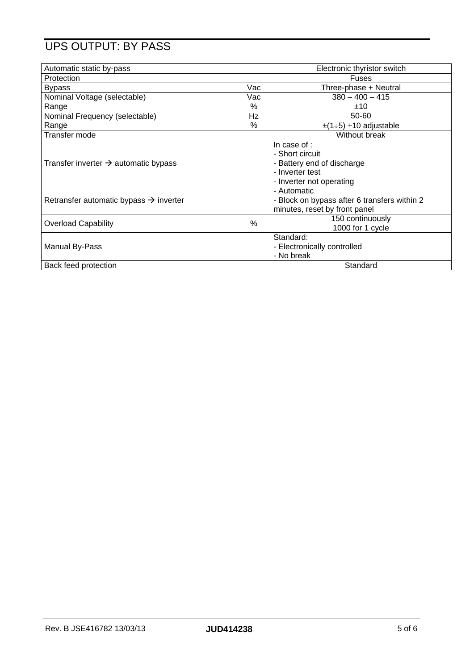### UPS OUTPUT: BY PASS

| Automatic static by-pass                           |     | Electronic thyristor switch                                                                                  |
|----------------------------------------------------|-----|--------------------------------------------------------------------------------------------------------------|
| Protection                                         |     | Fuses                                                                                                        |
| <b>Bypass</b>                                      | Vac | Three-phase + Neutral                                                                                        |
| Nominal Voltage (selectable)                       | Vac | $380 - 400 - 415$                                                                                            |
| Range                                              | %   | ±10                                                                                                          |
| Nominal Frequency (selectable)                     | Hz  | 50-60                                                                                                        |
| Range                                              | %   | $\pm$ (1÷5) $\pm$ 10 adjustable                                                                              |
| Transfer mode                                      |     | Without break                                                                                                |
| Transfer inverter $\rightarrow$ automatic bypass   |     | In case of :<br>- Short circuit<br>- Battery end of discharge<br>- Inverter test<br>- Inverter not operating |
| Retransfer automatic bypass $\rightarrow$ inverter |     | - Automatic<br>- Block on bypass after 6 transfers within 2<br>minutes, reset by front panel                 |
| <b>Overload Capability</b>                         | %   | 150 continuously<br>1000 for 1 cycle                                                                         |
| Manual By-Pass                                     |     | Standard:<br>- Electronically controlled<br>- No break                                                       |
| Back feed protection                               |     | Standard                                                                                                     |